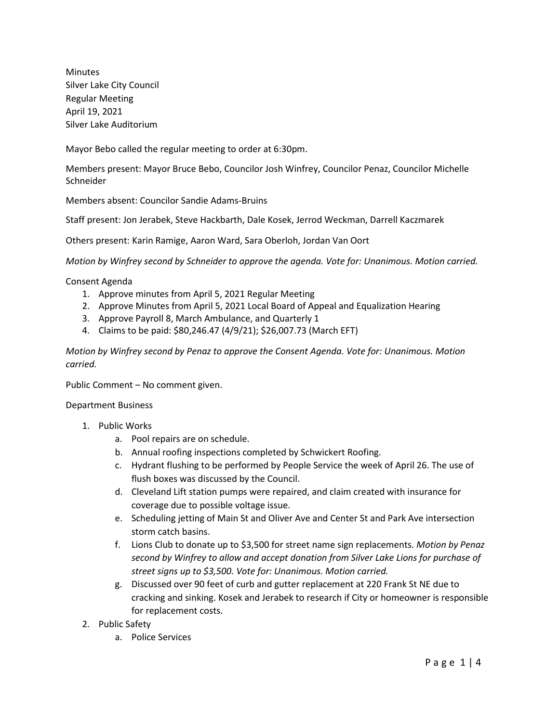Minutes Silver Lake City Council Regular Meeting April 19, 2021 Silver Lake Auditorium

Mayor Bebo called the regular meeting to order at 6:30pm.

Members present: Mayor Bruce Bebo, Councilor Josh Winfrey, Councilor Penaz, Councilor Michelle **Schneider** 

Members absent: Councilor Sandie Adams-Bruins

Staff present: Jon Jerabek, Steve Hackbarth, Dale Kosek, Jerrod Weckman, Darrell Kaczmarek

Others present: Karin Ramige, Aaron Ward, Sara Oberloh, Jordan Van Oort

*Motion by Winfrey second by Schneider to approve the agenda. Vote for: Unanimous. Motion carried.*

Consent Agenda

- 1. Approve minutes from April 5, 2021 Regular Meeting
- 2. Approve Minutes from April 5, 2021 Local Board of Appeal and Equalization Hearing
- 3. Approve Payroll 8, March Ambulance, and Quarterly 1
- 4. Claims to be paid: \$80,246.47 (4/9/21); \$26,007.73 (March EFT)

*Motion by Winfrey second by Penaz to approve the Consent Agenda. Vote for: Unanimous. Motion carried.*

Public Comment – No comment given.

## Department Business

- 1. Public Works
	- a. Pool repairs are on schedule.
	- b. Annual roofing inspections completed by Schwickert Roofing.
	- c. Hydrant flushing to be performed by People Service the week of April 26. The use of flush boxes was discussed by the Council.
	- d. Cleveland Lift station pumps were repaired, and claim created with insurance for coverage due to possible voltage issue.
	- e. Scheduling jetting of Main St and Oliver Ave and Center St and Park Ave intersection storm catch basins.
	- f. Lions Club to donate up to \$3,500 for street name sign replacements. *Motion by Penaz second by Winfrey to allow and accept donation from Silver Lake Lions for purchase of street signs up to \$3,500. Vote for: Unanimous. Motion carried.*
	- g. Discussed over 90 feet of curb and gutter replacement at 220 Frank St NE due to cracking and sinking. Kosek and Jerabek to research if City or homeowner is responsible for replacement costs.
- 2. Public Safety
	- a. Police Services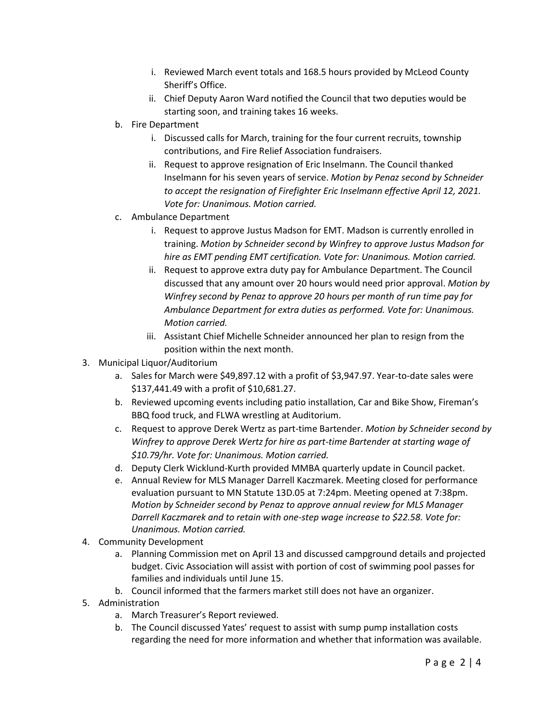- i. Reviewed March event totals and 168.5 hours provided by McLeod County Sheriff's Office.
- ii. Chief Deputy Aaron Ward notified the Council that two deputies would be starting soon, and training takes 16 weeks.
- b. Fire Department
	- i. Discussed calls for March, training for the four current recruits, township contributions, and Fire Relief Association fundraisers.
	- ii. Request to approve resignation of Eric Inselmann. The Council thanked Inselmann for his seven years of service. *Motion by Penaz second by Schneider to accept the resignation of Firefighter Eric Inselmann effective April 12, 2021. Vote for: Unanimous. Motion carried.*
- c. Ambulance Department
	- i. Request to approve Justus Madson for EMT. Madson is currently enrolled in training. *Motion by Schneider second by Winfrey to approve Justus Madson for hire as EMT pending EMT certification. Vote for: Unanimous. Motion carried.*
	- ii. Request to approve extra duty pay for Ambulance Department. The Council discussed that any amount over 20 hours would need prior approval. *Motion by Winfrey second by Penaz to approve 20 hours per month of run time pay for Ambulance Department for extra duties as performed. Vote for: Unanimous. Motion carried.*
	- iii. Assistant Chief Michelle Schneider announced her plan to resign from the position within the next month.
- 3. Municipal Liquor/Auditorium
	- a. Sales for March were \$49,897.12 with a profit of \$3,947.97. Year-to-date sales were \$137,441.49 with a profit of \$10,681.27.
	- b. Reviewed upcoming events including patio installation, Car and Bike Show, Fireman's BBQ food truck, and FLWA wrestling at Auditorium.
	- c. Request to approve Derek Wertz as part-time Bartender. *Motion by Schneider second by Winfrey to approve Derek Wertz for hire as part-time Bartender at starting wage of \$10.79/hr. Vote for: Unanimous. Motion carried.*
	- d. Deputy Clerk Wicklund-Kurth provided MMBA quarterly update in Council packet.
	- e. Annual Review for MLS Manager Darrell Kaczmarek. Meeting closed for performance evaluation pursuant to MN Statute 13D.05 at 7:24pm. Meeting opened at 7:38pm. *Motion by Schneider second by Penaz to approve annual review for MLS Manager Darrell Kaczmarek and to retain with one-step wage increase to \$22.58. Vote for: Unanimous. Motion carried.*
- 4. Community Development
	- a. Planning Commission met on April 13 and discussed campground details and projected budget. Civic Association will assist with portion of cost of swimming pool passes for families and individuals until June 15.
	- b. Council informed that the farmers market still does not have an organizer.
- 5. Administration
	- a. March Treasurer's Report reviewed.
	- b. The Council discussed Yates' request to assist with sump pump installation costs regarding the need for more information and whether that information was available.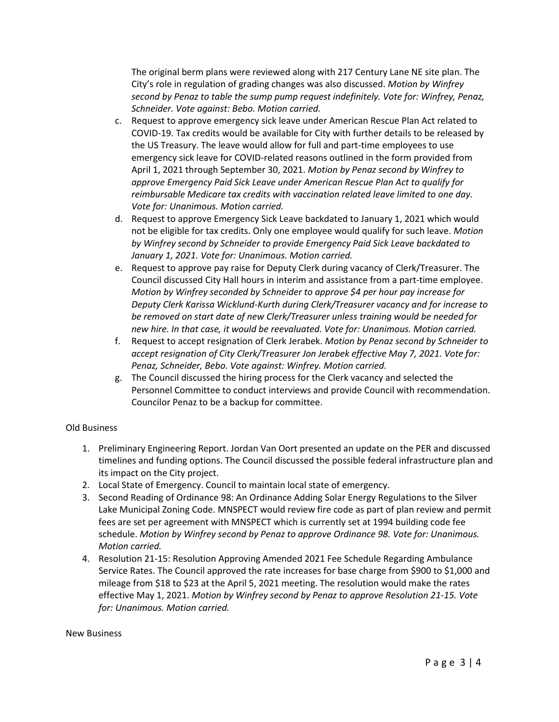The original berm plans were reviewed along with 217 Century Lane NE site plan. The City's role in regulation of grading changes was also discussed. *Motion by Winfrey second by Penaz to table the sump pump request indefinitely. Vote for: Winfrey, Penaz, Schneider. Vote against: Bebo. Motion carried.* 

- c. Request to approve emergency sick leave under American Rescue Plan Act related to COVID-19. Tax credits would be available for City with further details to be released by the US Treasury. The leave would allow for full and part-time employees to use emergency sick leave for COVID-related reasons outlined in the form provided from April 1, 2021 through September 30, 2021. *Motion by Penaz second by Winfrey to approve Emergency Paid Sick Leave under American Rescue Plan Act to qualify for reimbursable Medicare tax credits with vaccination related leave limited to one day. Vote for: Unanimous. Motion carried.*
- d. Request to approve Emergency Sick Leave backdated to January 1, 2021 which would not be eligible for tax credits. Only one employee would qualify for such leave. *Motion by Winfrey second by Schneider to provide Emergency Paid Sick Leave backdated to January 1, 2021. Vote for: Unanimous. Motion carried.*
- e. Request to approve pay raise for Deputy Clerk during vacancy of Clerk/Treasurer. The Council discussed City Hall hours in interim and assistance from a part-time employee. *Motion by Winfrey seconded by Schneider to approve \$4 per hour pay increase for Deputy Clerk Karissa Wicklund-Kurth during Clerk/Treasurer vacancy and for increase to be removed on start date of new Clerk/Treasurer unless training would be needed for new hire. In that case, it would be reevaluated. Vote for: Unanimous. Motion carried.*
- f. Request to accept resignation of Clerk Jerabek. *Motion by Penaz second by Schneider to accept resignation of City Clerk/Treasurer Jon Jerabek effective May 7, 2021. Vote for: Penaz, Schneider, Bebo. Vote against: Winfrey. Motion carried.*
- g. The Council discussed the hiring process for the Clerk vacancy and selected the Personnel Committee to conduct interviews and provide Council with recommendation. Councilor Penaz to be a backup for committee.

## Old Business

- 1. Preliminary Engineering Report. Jordan Van Oort presented an update on the PER and discussed timelines and funding options. The Council discussed the possible federal infrastructure plan and its impact on the City project.
- 2. Local State of Emergency. Council to maintain local state of emergency.
- 3. Second Reading of Ordinance 98: An Ordinance Adding Solar Energy Regulations to the Silver Lake Municipal Zoning Code. MNSPECT would review fire code as part of plan review and permit fees are set per agreement with MNSPECT which is currently set at 1994 building code fee schedule. *Motion by Winfrey second by Penaz to approve Ordinance 98. Vote for: Unanimous. Motion carried.*
- 4. Resolution 21-15: Resolution Approving Amended 2021 Fee Schedule Regarding Ambulance Service Rates. The Council approved the rate increases for base charge from \$900 to \$1,000 and mileage from \$18 to \$23 at the April 5, 2021 meeting. The resolution would make the rates effective May 1, 2021. *Motion by Winfrey second by Penaz to approve Resolution 21-15. Vote for: Unanimous. Motion carried.*

New Business